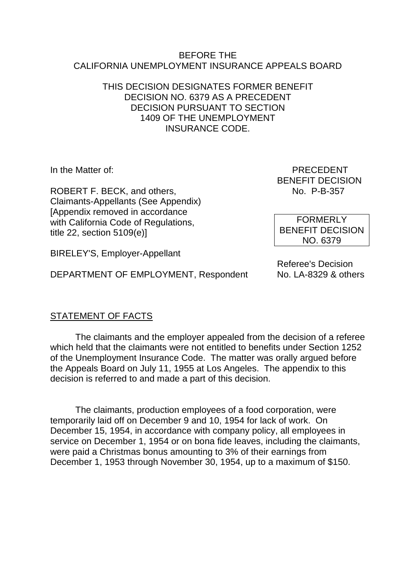#### BEFORE THE CALIFORNIA UNEMPLOYMENT INSURANCE APPEALS BOARD

#### THIS DECISION DESIGNATES FORMER BENEFIT DECISION NO. 6379 AS A PRECEDENT DECISION PURSUANT TO SECTION 1409 OF THE UNEMPLOYMENT INSURANCE CODE.

ROBERT F. BECK, and others, No. 2015 No. P-B-357 Claimants-Appellants (See Appendix) [Appendix removed in accordance with California Code of Regulations, title 22, section 5109(e)]

BIRELEY'S, Employer-Appellant

DEPARTMENT OF EMPLOYMENT, Respondent

In the Matter of: PRECEDENT BENEFIT DECISION

> FORMERLY BENEFIT DECISION NO. 6379

Referee's Decision<br>No. LA-8329 & others

# STATEMENT OF FACTS

The claimants and the employer appealed from the decision of a referee which held that the claimants were not entitled to benefits under Section 1252 of the Unemployment Insurance Code. The matter was orally argued before the Appeals Board on July 11, 1955 at Los Angeles. The appendix to this decision is referred to and made a part of this decision.

The claimants, production employees of a food corporation, were temporarily laid off on December 9 and 10, 1954 for lack of work. On December 15, 1954, in accordance with company policy, all employees in service on December 1, 1954 or on bona fide leaves, including the claimants, were paid a Christmas bonus amounting to 3% of their earnings from December 1, 1953 through November 30, 1954, up to a maximum of \$150.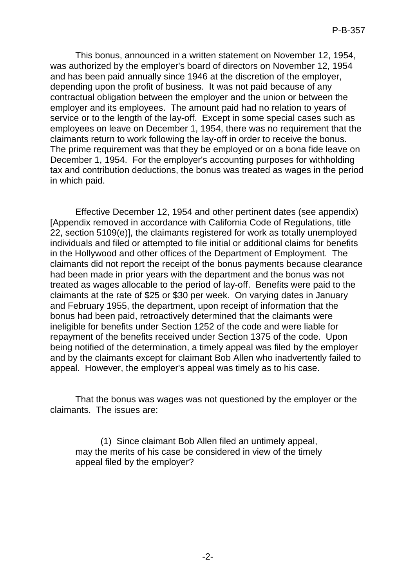This bonus, announced in a written statement on November 12, 1954, was authorized by the employer's board of directors on November 12, 1954 and has been paid annually since 1946 at the discretion of the employer, depending upon the profit of business. It was not paid because of any contractual obligation between the employer and the union or between the employer and its employees. The amount paid had no relation to years of service or to the length of the lay-off. Except in some special cases such as employees on leave on December 1, 1954, there was no requirement that the claimants return to work following the lay-off in order to receive the bonus. The prime requirement was that they be employed or on a bona fide leave on December 1, 1954. For the employer's accounting purposes for withholding tax and contribution deductions, the bonus was treated as wages in the period in which paid.

Effective December 12, 1954 and other pertinent dates (see appendix) [Appendix removed in accordance with California Code of Regulations, title 22, section 5109(e)], the claimants registered for work as totally unemployed individuals and filed or attempted to file initial or additional claims for benefits in the Hollywood and other offices of the Department of Employment. The claimants did not report the receipt of the bonus payments because clearance had been made in prior years with the department and the bonus was not treated as wages allocable to the period of lay-off. Benefits were paid to the claimants at the rate of \$25 or \$30 per week. On varying dates in January and February 1955, the department, upon receipt of information that the bonus had been paid, retroactively determined that the claimants were ineligible for benefits under Section 1252 of the code and were liable for repayment of the benefits received under Section 1375 of the code. Upon being notified of the determination, a timely appeal was filed by the employer and by the claimants except for claimant Bob Allen who inadvertently failed to appeal. However, the employer's appeal was timely as to his case.

That the bonus was wages was not questioned by the employer or the claimants. The issues are:

(1) Since claimant Bob Allen filed an untimely appeal, may the merits of his case be considered in view of the timely appeal filed by the employer?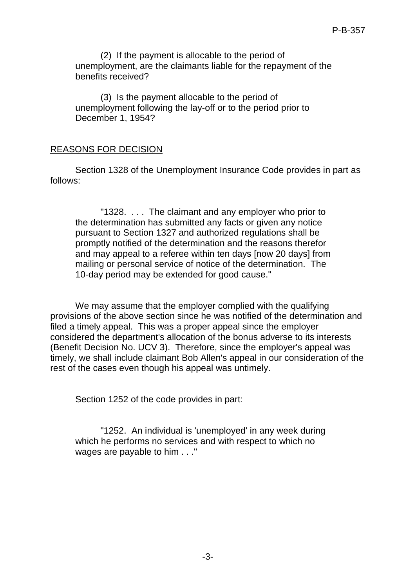(2) If the payment is allocable to the period of unemployment, are the claimants liable for the repayment of the benefits received?

(3) Is the payment allocable to the period of unemployment following the lay-off or to the period prior to December 1, 1954?

### REASONS FOR DECISION

Section 1328 of the Unemployment Insurance Code provides in part as follows:

"1328. . . . The claimant and any employer who prior to the determination has submitted any facts or given any notice pursuant to Section 1327 and authorized regulations shall be promptly notified of the determination and the reasons therefor and may appeal to a referee within ten days [now 20 days] from mailing or personal service of notice of the determination. The 10-day period may be extended for good cause."

We may assume that the employer complied with the qualifying provisions of the above section since he was notified of the determination and filed a timely appeal. This was a proper appeal since the employer considered the department's allocation of the bonus adverse to its interests (Benefit Decision No. UCV 3). Therefore, since the employer's appeal was timely, we shall include claimant Bob Allen's appeal in our consideration of the rest of the cases even though his appeal was untimely.

Section 1252 of the code provides in part:

"1252. An individual is 'unemployed' in any week during which he performs no services and with respect to which no wages are payable to him . . ."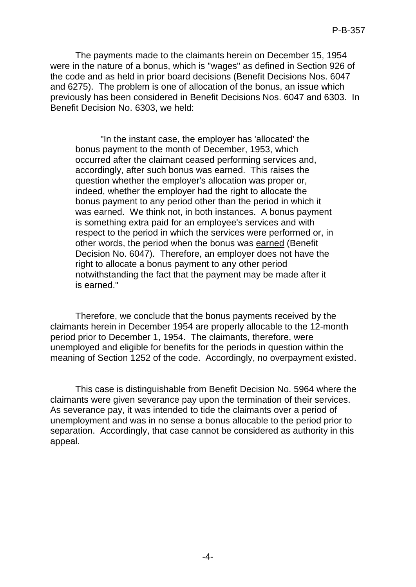The payments made to the claimants herein on December 15, 1954 were in the nature of a bonus, which is "wages" as defined in Section 926 of the code and as held in prior board decisions (Benefit Decisions Nos. 6047 and 6275). The problem is one of allocation of the bonus, an issue which previously has been considered in Benefit Decisions Nos. 6047 and 6303. In Benefit Decision No. 6303, we held:

"In the instant case, the employer has 'allocated' the bonus payment to the month of December, 1953, which occurred after the claimant ceased performing services and, accordingly, after such bonus was earned. This raises the question whether the employer's allocation was proper or, indeed, whether the employer had the right to allocate the bonus payment to any period other than the period in which it was earned. We think not, in both instances. A bonus payment is something extra paid for an employee's services and with respect to the period in which the services were performed or, in other words, the period when the bonus was earned (Benefit Decision No. 6047). Therefore, an employer does not have the right to allocate a bonus payment to any other period notwithstanding the fact that the payment may be made after it is earned."

Therefore, we conclude that the bonus payments received by the claimants herein in December 1954 are properly allocable to the 12-month period prior to December 1, 1954. The claimants, therefore, were unemployed and eligible for benefits for the periods in question within the meaning of Section 1252 of the code. Accordingly, no overpayment existed.

This case is distinguishable from Benefit Decision No. 5964 where the claimants were given severance pay upon the termination of their services. As severance pay, it was intended to tide the claimants over a period of unemployment and was in no sense a bonus allocable to the period prior to separation. Accordingly, that case cannot be considered as authority in this appeal.